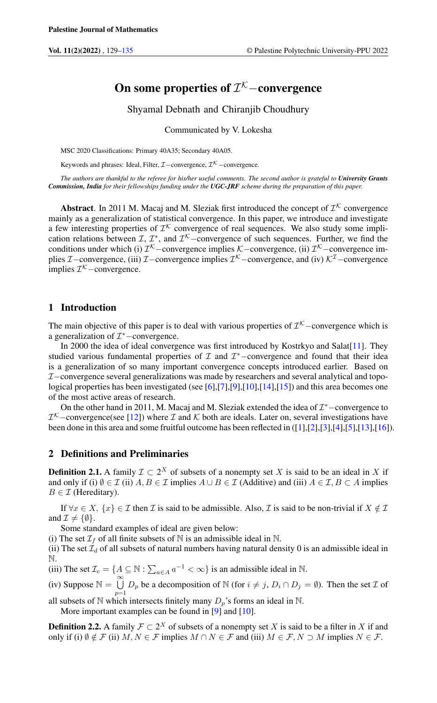# On some properties of  $\mathcal{I}^{\mathcal{K}}-$ convergence

Shyamal Debnath and Chiranjib Choudhury

Communicated by V. Lokesha

MSC 2020 Classifications: Primary 40A35; Secondary 40A05.

Keywords and phrases: Ideal, Filter,  $\mathcal{I}-$ convergence,  $\mathcal{I}^{\mathcal{K}}$  – convergence.

*The authors are thankful to the referee for his/her useful comments. The second author is grateful to University Grants Commission, India for their fellowships funding under the UGC-JRF scheme during the preparation of this paper.*

**Abstract**. In 2011 M. Macaj and M. Sleziak first introduced the concept of  $\mathcal{I}^{\mathcal{K}}$  convergence mainly as a generalization of statistical convergence. In this paper, we introduce and investigate a few interesting properties of  $\mathcal{I}^{\mathcal{K}}$  convergence of real sequences. We also study some implication relations between  $\mathcal{I}, \mathcal{I}^*$ , and  $\mathcal{I}^{\mathcal{K}}$  –convergence of such sequences. Further, we find the conditions under which (i)  $\mathcal{I}^{\mathcal{K}}$  – convergence implies  $\mathcal{K}$  – convergence, (ii)  $\mathcal{I}^{\mathcal{K}}$  – convergence implies  $\mathcal{I}-$ convergence, (iii)  $\mathcal{I}-$ convergence implies  $\mathcal{I}^{\mathcal{K}}$ –convergence, and (iv)  $\mathcal{K}^{\mathcal{I}}$ –convergence implies  $\mathcal{I}^{\mathcal{K}}$  – convergence.

# 1 Introduction

The main objective of this paper is to deal with various properties of  $\mathcal{I}^{\mathcal{K}}$  –convergence which is a generalization of  $\mathcal{I}^*$  -convergence.

In 2000 the idea of ideal convergence was first introduced by Kostrkyo and Salat[\[11\]](#page-6-1). They studied various fundamental properties of  $I$  and  $I^*$  -convergence and found that their idea is a generalization of so many important convergence concepts introduced earlier. Based on I−convergence several generalizations was made by researchers and several analytical and topological properties has been investigated (see  $[6]$ , $[7]$ , $[9]$ , $[10]$ , $[14]$ , $[15]$ ) and this area becomes one of the most active areas of research.

On the other hand in 2011, M. Macaj and M. Sleziak extended the idea of  $\mathcal{I}^*$  -convergence to  $\mathcal{I}^{\mathcal{K}}$  –convergence(see [\[12\]](#page-6-8)) where  $\mathcal I$  and  $\mathcal K$  both are ideals. Later on, several investigations have been done in this area and some fruitful outcome has been reflected in ([\[1\]](#page-6-9),[\[2\]](#page-6-10),[\[3\]](#page-6-11),[\[4\]](#page-6-12),[\[5\]](#page-6-13),[\[13\]](#page-6-14),[\[16\]](#page-6-15)).

# 2 Definitions and Preliminaries

**Definition 2.1.** A family  $\mathcal{I} \subset 2^X$  of subsets of a nonempty set X is said to be an ideal in X if and only if (i)  $\emptyset \in \mathcal{I}$  (ii)  $A, B \in \mathcal{I}$  implies  $A \cup B \in \mathcal{I}$  (Additive) and (iii)  $A \in \mathcal{I}, B \subset A$  implies  $B \in \mathcal{I}$  (Hereditary).

If  $\forall x \in X$ ,  $\{x\} \in \mathcal{I}$  then  $\mathcal{I}$  is said to be admissible. Also,  $\mathcal{I}$  is said to be non-trivial if  $X \notin \mathcal{I}$ and  $\mathcal{I} \neq {\emptyset}.$ 

Some standard examples of ideal are given below:

(i) The set  $\mathcal{I}_f$  of all finite subsets of N is an admissible ideal in N.

(ii) The set  $\mathcal{I}_d$  of all subsets of natural numbers having natural density 0 is an admissible ideal in N.

(iii) The set  $\mathcal{I}_c = \{ A \subseteq \mathbb{N} : \sum_{a \in A} a^{-1} < \infty \}$  is an admissible ideal in  $\mathbb{N}$ .

(iv) Suppose  $\mathbb{N} = \bigcup_{i=1}^{\infty} D_p$  be a decomposition of  $\mathbb{N}$  (for  $i \neq j$ ,  $D_i \cap D_j = \emptyset$ ). Then the set  $\mathcal I$  of

all subsets of N which intersects finitely many  $D_p$ 's forms an ideal in N. More important examples can be found in [\[9\]](#page-6-4) and [\[10\]](#page-6-5).

**Definition 2.2.** A family  $\mathcal{F} \subset 2^X$  of subsets of a nonempty set X is said to be a filter in X if and only if (i)  $\emptyset \notin \mathcal{F}$  (ii)  $M, N \in \mathcal{F}$  implies  $M \cap N \in \mathcal{F}$  and (iii)  $M \in \mathcal{F}, N \supset M$  implies  $N \in \mathcal{F}$ .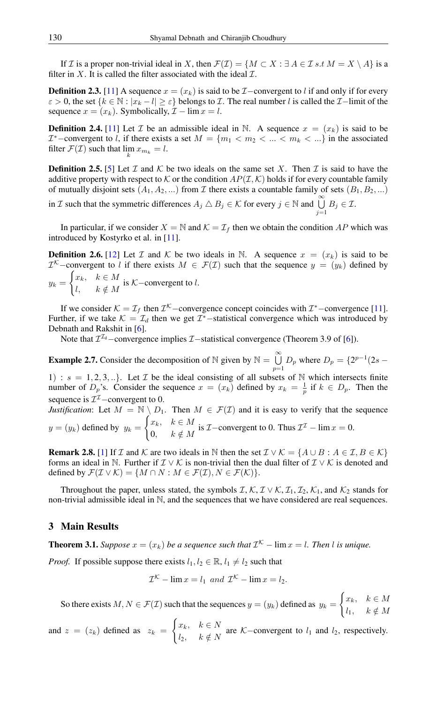If I is a proper non-trivial ideal in X, then  $\mathcal{F}(\mathcal{I}) = \{M \subset X : \exists A \in \mathcal{I} s.t M = X \setminus A\}$  is a filter in X. It is called the filter associated with the ideal  $\mathcal{I}$ .

**Definition 2.3.** [\[11\]](#page-6-1) A sequence  $x = (x_k)$  is said to be  $\mathcal{I}-$ convergent to l if and only if for every  $\varepsilon > 0$ , the set  $\{k \in \mathbb{N} : |x_k - l| \ge \varepsilon\}$  belongs to *I*. The real number l is called the *I*−limit of the sequence  $x = (x_k)$ . Symbolically,  $\mathcal{I} - \lim x = l$ .

**Definition 2.4.** [\[11\]](#page-6-1) Let T be an admissible ideal in N. A sequence  $x = (x_k)$  is said to be  $\mathcal{I}^*$  –convergent to l, if there exists a set  $M = \{m_1 < m_2 < \ldots < m_k < \ldots\}$  in the associated filter  $\mathcal{F}(\mathcal{I})$  such that  $\lim_k x_{m_k} = l$ .

**Definition 2.5.** [\[5\]](#page-6-13) Let  $\mathcal I$  and  $\mathcal K$  be two ideals on the same set X. Then  $\mathcal I$  is said to have the additive property with respect to K or the condition  $AP(\mathcal{I}, \mathcal{K})$  holds if for every countable family of mutually disjoint sets  $(A_1, A_2, ...)$  from  $\mathcal I$  there exists a countable family of sets  $(B_1, B_2, ...)$ 

in *I* such that the symmetric differences  $A_j \triangle B_j \in \mathcal{K}$  for every  $j \in \mathbb{N}$  and  $\bigcup_{j=1}^{\infty} B_j \in \mathcal{I}$ .

In particular, if we consider  $X = \mathbb{N}$  and  $\mathcal{K} = \mathcal{I}_f$  then we obtain the condition AP which was introduced by Kostyrko et al. in [\[11\]](#page-6-1).

**Definition 2.6.** [\[12\]](#page-6-8) Let I and K be two ideals in N. A sequence  $x = (x_k)$  is said to be  $\mathcal{I}^{\mathcal{K}}$ -convergent to l if there exists  $M \in \mathcal{F}(\mathcal{I})$  such that the sequence  $y = (y_k)$  defined by  $y_k =$  $\int x_k, \quad k \in M$  $\begin{cases} \n\frac{\partial}{\partial k}, & k \in M \n\end{cases}$  is K–convergent to l.

If we consider  $K = \mathcal{I}_f$  then  $\mathcal{I}^k$  – convergence concept coincides with  $\mathcal{I}^*$  – convergence [\[11\]](#page-6-1). Further, if we take  $K = \mathcal{I}_d$  then we get  $\mathcal{I}^*$ -statistical convergence which was introduced by Debnath and Rakshit in [\[6\]](#page-6-2).

Note that  $\mathcal{I}^{\mathcal{I}_d}$  – convergence implies  $\mathcal{I}$  – statistical convergence (Theorem 3.9 of [\[6\]](#page-6-2)).

<span id="page-1-0"></span>**Example 2.7.** Consider the decomposition of N given by  $N = \bigcup_{n=1}^{\infty} N_n$  $\bigcup_{p=1} D_p$  where  $D_p = \{2^{p-1}(2s -$ 1) :  $s = 1, 2, 3, \ldots$ . Let  $\mathcal I$  be the ideal consisting of all subsets of N which intersects finite number of  $D_p$ 's. Consider the sequence  $x = (x_k)$  defined by  $x_k = \frac{1}{p}$  if  $k \in D_p$ . Then the sequence is  $\mathcal{I}^{\mathcal{I}}$  – convergent to 0.

*Justification*: Let  $M = \mathbb{N} \setminus D_1$ . Then  $M \in \mathcal{F}(\mathcal{I})$  and it is easy to verify that the sequence  $y = (y_k)$  defined by  $y_k =$  $\int x_k, \quad k \in M$  $\begin{cases} x_k, & k \in M \\ 0, & k \notin M \end{cases}$  is  $\mathcal{I}$ -convergent to 0. Thus  $\mathcal{I}^{\mathcal{I}}$  -  $\lim x = 0$ .

**Remark 2.8.** [\[1\]](#page-6-9) If  $\mathcal I$  and  $\mathcal K$  are two ideals in  $\mathbb N$  then the set  $\mathcal I \vee \mathcal K = \{A \cup B : A \in \mathcal I, B \in \mathcal K\}$ forms an ideal in N. Further if  $\mathcal{I} \vee \mathcal{K}$  is non-trivial then the dual filter of  $\mathcal{I} \vee \mathcal{K}$  is denoted and defined by  $\mathcal{F}(\mathcal{I} \vee \mathcal{K}) = \{M \cap N : M \in \mathcal{F}(\mathcal{I}), N \in \mathcal{F}(\mathcal{K})\}.$ 

Throughout the paper, unless stated, the symbols  $\mathcal{I}, \mathcal{K}, \mathcal{I} \vee \mathcal{K}, \mathcal{I}_1, \mathcal{I}_2, \mathcal{K}_1$ , and  $\mathcal{K}_2$  stands for non-trivial admissible ideal in N, and the sequences that we have considered are real sequences.

## 3 Main Results

**Theorem 3.1.** *Suppose*  $x = (x_k)$  *be a sequence such that*  $\mathcal{I}^{\mathcal{K}}$  –  $\lim x = l$ *. Then l is unique.* 

*Proof.* If possible suppose there exists  $l_1, l_2 \in \mathbb{R}, l_1 \neq l_2$  such that

$$
\mathcal{I}^{\mathcal{K}} - \lim x = l_1 \text{ and } \mathcal{I}^{\mathcal{K}} - \lim x = l_2.
$$

So there exists  $M, N \in \mathcal{F}(\mathcal{I})$  such that the sequences  $y = (y_k)$  defined as  $y_k =$  $\int x_k, \quad k \in M$  $l_1, \quad k \notin M$ 

and  $z = (z_k)$  defined as  $z_k =$  $\int x_k, \quad k \in N$  $\begin{cases} \n\frac{\partial}{\partial k}, & n \in \mathbb{N} \\ \n\frac{\partial}{\partial x}, & k \notin \mathbb{N} \n\end{cases}$  are K–convergent to  $l_1$  and  $l_2$ , respectively.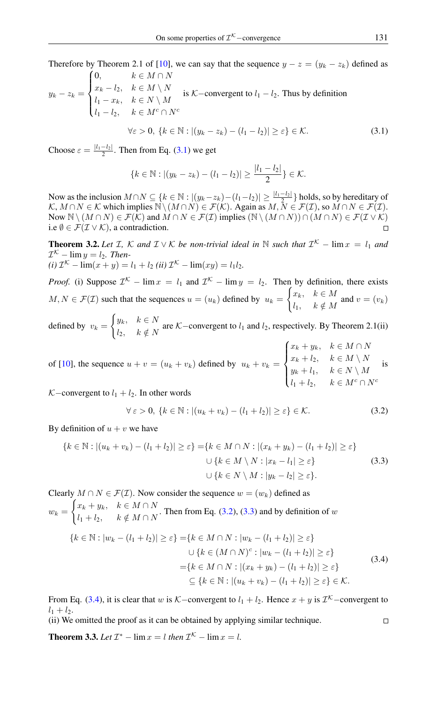Therefore by Theorem 2.1 of [\[10\]](#page-6-5), we can say that the sequence  $y - z = (y_k - z_k)$  defined as  $(0,$  $k \in M \cap N$ 

$$
y_k - z_k = \begin{cases} x_k - l_2, & k \in M \setminus N \\ l_1 - x_k, & k \in N \setminus M \\ l_1 - l_2, & k \in M^c \cap N^c \end{cases}
$$
 is K–convergent to  $l_1 - l_2$ . Thus by definition

<span id="page-2-0"></span>
$$
\forall \varepsilon > 0, \, \{k \in \mathbb{N} : |(y_k - z_k) - (l_1 - l_2)| \ge \varepsilon\} \in \mathcal{K}.\tag{3.1}
$$

Choose  $\varepsilon = \frac{|l_1 - l_2|}{2}$ . Then from Eq. [\(3.1\)](#page-2-0) we get

$$
\{k \in \mathbb{N} : |(y_k - z_k) - (l_1 - l_2)| \ge \frac{|l_1 - l_2|}{2}\} \in \mathcal{K}.
$$

Now as the inclusion  $M \cap N \subseteq \{k \in \mathbb{N} : |(y_k - z_k) - (l_1 - l_2)| \ge \frac{|l_1 - l_2|}{2}\}$  holds, so by hereditary of  $K, M \cap N \in \mathcal{K}$  which implies  $\mathbb{N} \setminus (M \cap N) \in \mathcal{F}(\mathcal{K})$ . Again as  $M, \tilde{N} \in \mathcal{F}(\mathcal{I})$ , so  $M \cap N \in \mathcal{F}(\mathcal{I})$ . Now  $\mathbb{N} \setminus (M \cap N) \in \mathcal{F}(\mathcal{K})$  and  $M \cap N \in \mathcal{F}(\mathcal{I})$  implies  $(\mathbb{N} \setminus (M \cap N)) \cap (M \cap N) \in \mathcal{F}(\mathcal{I} \vee \mathcal{K})$ i.e  $\emptyset \in \mathcal{F}(\mathcal{I} \vee \mathcal{K})$ , a contradiction.  $\Box$ 

**Theorem 3.2.** Let I, K and  $I \vee K$  be non-trivial ideal in N such that  $I^{K}$  –  $\lim x = l_1$  and  $\mathcal{I}^{\mathcal{K}}$  –  $\lim y = l_2$ . Then- $(i)$   $\mathcal{I}^{\mathcal{K}}$  –  $\lim(x + y) = l_1 + l_2$  *(ii)*  $\mathcal{I}^{\mathcal{K}}$  –  $\lim(xy) = l_1 l_2$ *.* 

*Proof.* (i) Suppose  $\mathcal{I}^{\mathcal{K}}$  – lim  $x = l_1$  and  $\mathcal{I}^{\mathcal{K}}$  – lim  $y = l_2$ . Then by definition, there exists  $M, N \in \mathcal{F}(\mathcal{I})$  such that the sequences  $u = (u_k)$  defined by  $u_k =$  $\int x_k, \quad k \in M$  $\begin{cases} u_k, & n \in M \\ l_1, & k \notin M \end{cases}$  and  $v = (v_k)$ 

defined by  $v_k =$  $\int y_k, \quad k \in N$  $\begin{cases} \n\frac{\partial}{\partial k}, & n \in \mathbb{N} \\ \n\frac{\partial}{\partial k}, & k \notin \mathbb{N} \n\end{cases}$  are K–convergent to  $l_1$  and  $l_2$ , respectively. By Theorem 2.1(ii)

of [\[10\]](#page-6-5), the sequence  $u + v = (u_k + v_k)$  defined by  $u_k + v_k =$  $\sqrt{ }$  $\int$  $\overline{\mathcal{L}}$  $x_k + y_k, \quad k \in M \cap N$  $x_k + l_2, \quad k \in M \setminus N$  $y_k + l_1, \quad k \in N \setminus M$  $l_1 + l_2, \quad k \in M^c \cap N^c$ is

K–convergent to  $l_1 + l_2$ . In other words

<span id="page-2-2"></span><span id="page-2-1"></span>
$$
\forall \varepsilon > 0, \{k \in \mathbb{N} : |(u_k + v_k) - (l_1 + l_2)| \ge \varepsilon\} \in \mathcal{K}.
$$
 (3.2)

By definition of  $u + v$  we have

$$
\{k \in \mathbb{N} : |(u_k + v_k) - (l_1 + l_2)| \ge \varepsilon\} = \{k \in M \cap N : |(x_k + y_k) - (l_1 + l_2)| \ge \varepsilon\}
$$
  

$$
\cup \{k \in M \setminus N : |x_k - l_1| \ge \varepsilon\}
$$
  

$$
\cup \{k \in N \setminus M : |y_k - l_2| \ge \varepsilon\}.
$$
 (3.3)

Clearly  $M \cap N \in \mathcal{F}(\mathcal{I})$ . Now consider the sequence  $w = (w_k)$  defined as  $w_k =$  $\int x_k + y_k, \quad k \in M \cap N$  $\begin{aligned} \n\mu_k + g_k, & n \in \mathbb{R} + \{1, 1\} \\ \n\mu_1 + \mu_2, & k \notin M \cap N \n\end{aligned}$ . Then from Eq. [\(3.2\)](#page-2-1), [\(3.3\)](#page-2-2) and by definition of w  ${k \in \mathbb{N} : |w_k - (l_1 + l_2)| \ge \varepsilon} = {k \in M \cap N : |w_k - (l_1 + l_2)| \ge \varepsilon}$  $\cup \{k \in (M \cap N)^c : |w_k - (l_1 + l_2)| \geq \varepsilon\}$  $=\{k \in M \cap N : |(x_k + y_k) - (l_1 + l_2)| \geq \varepsilon\}$  $\subset \{k \in \mathbb{N} : |(u_k + v_k) - (l_1 + l_2)| \geq \varepsilon\} \in \mathcal{K}.$ 

From Eq. [\(3.4\)](#page-2-3), it is clear that w is K–convergent to  $l_1 + l_2$ . Hence  $x + y$  is  $\mathcal{I}^{\mathcal{K}}$ –convergent to  $l_1 + l_2$ .

(ii) We omitted the proof as it can be obtained by applying similar technique.

**Theorem 3.3.** *Let*  $\mathcal{I}^*$  –  $\lim x = l$  *then*  $\mathcal{I}^{\mathcal{K}}$  –  $\lim x = l$ *.* 

 $\Box$ 

<span id="page-2-3"></span>(3.4)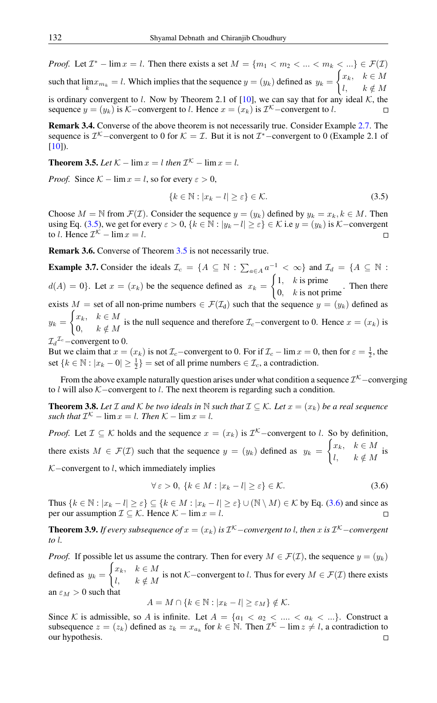*Proof.* Let  $\mathcal{I}^*$  – lim  $x = l$ . Then there exists a set  $M = \{m_1 < m_2 < \ldots < m_k < \ldots\} \in \mathcal{F}(\mathcal{I})$ such that  $\lim_k x_{m_k} = l$ . Which implies that the sequence  $y = (y_k)$  defined as  $y_k =$  $\int x_k, \quad k \in M$ l,  $k \notin M$ is ordinary convergent to l. Now by Theorem 2.1 of [\[10\]](#page-6-5), we can say that for any ideal K, the sequence  $y = (y_k)$  is K–convergent to l. Hence  $x = (x_k)$  is  $\mathcal{I}^{\mathcal{K}}$ –convergent to l.

Remark 3.4. Converse of the above theorem is not necessarily true. Consider Example [2.7.](#page-1-0) The sequence is  $\mathcal{I}^{\mathcal{K}}$  – convergent to 0 for  $\mathcal{K} = \mathcal{I}$ . But it is not  $\mathcal{I}^*$  – convergent to 0 (Example 2.1 of [\[10\]](#page-6-5)).

<span id="page-3-1"></span>**Theorem 3.5.** *Let*  $K - \lim x = l$  *then*  $\mathcal{I}^K - \lim x = l$ *.* 

*Proof.* Since  $K - \lim x = l$ , so for every  $\varepsilon > 0$ ,

<span id="page-3-0"></span>
$$
\{k \in \mathbb{N} : |x_k - l| \ge \varepsilon\} \in \mathcal{K}.\tag{3.5}
$$

Choose  $M = \mathbb{N}$  from  $\mathcal{F}(\mathcal{I})$ . Consider the sequence  $y = (y_k)$  defined by  $y_k = x_k, k \in M$ . Then using Eq. [\(3.5\)](#page-3-0), we get for every  $\varepsilon > 0$ ,  $\{k \in \mathbb{N} : |y_k - l| \ge \varepsilon\} \in \mathcal{K}$  i.e  $y = (y_k)$  is K-convergent to l. Hence  $\mathcal{I}^{\mathcal{K}}$  –  $\lim x = l$ .  $\Box$ 

Remark 3.6. Converse of Theorem [3.5](#page-3-1) is not necessarily true.

**Example 3.7.** Consider the ideals  $\mathcal{I}_c = \{A \subseteq \mathbb{N} : \sum_{a \in A} a^{-1} < \infty\}$  and  $\mathcal{I}_d = \{A \subseteq \mathbb{N} : \sum_{a \in A} a^{-1} < \infty\}$  $d(A) = 0$ . Let  $x = (x_k)$  be the sequence defined as  $x_k =$  $\int 1$ , *k* is prime  $\begin{bmatrix} 0, & k \end{bmatrix}$  is not prime. Then there exists M = set of all non-prime numbers  $\in \mathcal{F}(\mathcal{I}_d)$  such that the sequence  $y = (y_k)$  defined as  $y_k =$  $\int x_k, \quad k \in M$  $\begin{cases} 0, & n \in \mathbb{N} \\ 0, & k \notin M \end{cases}$  is the null sequence and therefore  $\mathcal{I}_c$ –convergent to 0. Hence  $x = (x_k)$  is  $\mathcal{I}_d^{\mathcal{I}_c}$  – convergent to 0.

But we claim that  $x = (x_k)$  is not  $\mathcal{I}_c$ –convergent to 0. For if  $\mathcal{I}_c$  – lim  $x = 0$ , then for  $\varepsilon = \frac{1}{2}$ , the set  $\{k \in \mathbb{N} : |x_k - 0| \ge \frac{1}{2}\}$  = set of all prime numbers  $\in \mathcal{I}_c$ , a contradiction.

From the above example naturally question arises under what condition a sequence  $\mathcal{I}^{\mathcal{K}}$  –converging to l will also K−convergent to l. The next theorem is regarding such a condition.

**Theorem 3.8.** Let  $\mathcal{I}$  and  $\mathcal{K}$  *be two ideals in*  $\mathbb{N}$  *such that*  $\mathcal{I} \subseteq \mathcal{K}$ *. Let*  $x = (x_k)$  *be a real sequence such that*  $\mathcal{I}^{\mathcal{K}}$  –  $\lim x = l$ *. Then*  $\mathcal{K}$  –  $\lim x = l$ *.* 

*Proof.* Let  $\mathcal{I} \subseteq \mathcal{K}$  holds and the sequence  $x = (x_k)$  is  $\mathcal{I}^{\mathcal{K}}$ -convergent to l. So by definition, there exists  $M \in \mathcal{F}(\mathcal{I})$  such that the sequence  $y = (y_k)$  defined as  $y_k =$  $\int x_k, \quad k \in M$  $\begin{array}{ll} \n\frac{k}{k}, & k \in M \n\end{array}$  is  $K$ –convergent to l, which immediately implies

<span id="page-3-2"></span>
$$
\forall \varepsilon > 0, \{k \in M : |x_k - l| \ge \varepsilon\} \in \mathcal{K}.\tag{3.6}
$$

Thus  $\{k \in \mathbb{N} : |x_k - l| \ge \varepsilon\} \subseteq \{k \in M : |x_k - l| \ge \varepsilon\} \cup (\mathbb{N} \setminus M) \in \mathcal{K}$  by Eq. [\(3.6\)](#page-3-2) and since as per our assumption  $\mathcal{I} \subseteq \mathcal{K}$ . Hence  $\mathcal{K} - \lim x = l$ .

**Theorem 3.9.** If every subsequence of  $x = (x_k)$  is  $\mathcal{I}^{\mathcal{K}}$  – convergent to l, then x is  $\mathcal{I}^{\mathcal{K}}$  – convergent *to* l*.*

*Proof.* If possible let us assume the contrary. Then for every  $M \in \mathcal{F}(\mathcal{I})$ , the sequence  $y = (y_k)$ defined as  $y_k =$  $\int x_k, \quad k \in M$  $\begin{cases} \n k, & n \in \mathbb{N} \\ \n k \notin M \n\end{cases}$  is not K–convergent to l. Thus for every  $M \in \mathcal{F}(\mathcal{I})$  there exists an  $\varepsilon_M > 0$  such that

$$
A = M \cap \{k \in \mathbb{N} : |x_k - l| \ge \varepsilon_M\} \notin \mathcal{K}.
$$

Since K is admissible, so A is infinite. Let  $A = \{a_1 < a_2 < \ldots < a_k < \ldots\}$ . Construct a subsequence  $z = (z_k)$  defined as  $z_k = x_{a_k}$  for  $k \in \mathbb{N}$ . Then  $\mathcal{I}^k$  – lim  $z \neq l$ , a contradiction to our hypothesis. $\Box$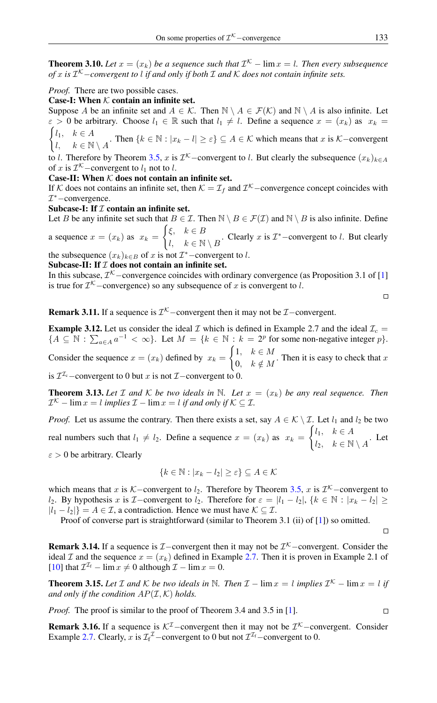**Theorem 3.10.** Let  $x = (x_k)$  be a sequence such that  $\mathcal{I}^{\mathcal{K}}$  –  $\lim x = l$ . Then every subsequence *of* x *is* I <sup>K</sup>−*convergent to* l *if and only if both* I *and* K *does not contain infinite sets.*

#### *Proof.* There are two possible cases.

### Case-I: When  $K$  contain an infinite set.

Suppose A be an infinite set and  $A \in \mathcal{K}$ . Then  $\mathbb{N} \setminus A \in \mathcal{F}(\mathcal{K})$  and  $\mathbb{N} \setminus A$  is also infinite. Let  $\varepsilon > 0$  be arbitrary. Choose  $l_1 \in \mathbb{R}$  such that  $l_1 \neq l$ . Define a sequence  $x = (x_k)$  as  $x_k =$  $\int l_1, \quad k \in A$ 

 $\begin{cases} \n k \in \mathbb{N} \\ \n k \in \mathbb{N} \setminus A \n\end{cases}$ . Then  $\{k \in \mathbb{N} : |x_k - l| \geq \varepsilon\} \subseteq A \in \mathcal{K}$  which means that  $x$  is  $\mathcal{K}-$ convergent

to l. Therefore by Theorem [3.5,](#page-3-1) x is  $\mathcal{I}^{\mathcal{K}}$  –convergent to l. But clearly the subsequence  $(x_k)_{k \in A}$ of x is  $\mathcal{I}^{\mathcal{K}}$  – convergent to  $l_1$  not to  $l$ .

#### Case-II: When  $K$  does not contain an infinite set.

If K does not contains an infinite set, then  $K = \mathcal{I}_f$  and  $\mathcal{I}^{\mathcal{K}}$  –convergence concept coincides with I <sup>∗</sup>−convergence.

#### Subcase-I: If  $I$  contain an infinite set.

Let B be any infinite set such that  $B \in \mathcal{I}$ . Then  $\mathbb{N} \setminus B \in \mathcal{F}(\mathcal{I})$  and  $\mathbb{N} \setminus B$  is also infinite. Define a sequence  $x = (x_k)$  as  $x_k =$  $\int \xi, \quad k \in B$ 

 $\mathcal{U}, \quad k \in \mathbb{N} \setminus B$ . Clearly x is  $\mathcal{I}^*$  – convergent to l. But clearly

the subsequence  $(x_k)_{k \in B}$  of x is not  $\mathcal{I}^*$  –convergent to l.

# Subcase-II: If  $I$  does not contain an infinite set.

In this subcase,  $\mathcal{I}^{\mathcal{K}}$  – convergence coincides with ordinary convergence (as Proposition 3.1 of [\[1\]](#page-6-9) is true for  $\mathcal{I}^{\mathcal{K}}$  –convergence) so any subsequence of x is convergent to l.

**Remark 3.11.** If a sequence is  $\mathcal{I}^{\mathcal{K}}$  –convergent then it may not be  $\mathcal{I}$  –convergent.

**Example 3.12.** Let us consider the ideal  $\mathcal{I}$  which is defined in Example 2.7 and the ideal  $\mathcal{I}_c$  =  ${A \subseteq \mathbb{N} : \sum_{a \in A} a^{-1} < \infty}.$  Let  $M = {k \in \mathbb{N} : k = 2^p \text{ for some non-negative integer } p}.$  $\int 1, \quad k \in M$ 

Consider the sequence  $x = (x_k)$  defined by  $x_k =$  $\begin{array}{c} 0, & k \notin M \end{array}$ . Then it is easy to check that x

is  $\mathcal{I}^{\mathcal{I}_c}$  – convergent to 0 but x is not  $\mathcal{I}$  – convergent to 0.

**Theorem 3.13.** Let I and K be two ideals in N. Let  $x = (x_k)$  be any real sequence. Then  $\mathcal{I}^{\mathcal{K}}$  –  $\lim x = l$  *implies*  $\mathcal{I}$  –  $\lim x = l$  *if and only if*  $\mathcal{K} \subseteq \mathcal{I}$ *.* 

*Proof.* Let us assume the contrary. Then there exists a set, say  $A \in \mathcal{K} \setminus \mathcal{I}$ . Let  $l_1$  and  $l_2$  be two real numbers such that  $l_1 \neq l_2$ . Define a sequence  $x = (x_k)$  as  $x_k =$  $\int l_1, \quad k \in A$  $l_2, \quad k \in \mathbb{N} \setminus A$ . Let  $\epsilon > 0$  be arbitrary. Clearly

$$
\{k \in \mathbb{N} : |x_k - l_2| \ge \varepsilon\} \subseteq A \in \mathcal{K}
$$

which means that x is K–convergent to  $l_2$ . Therefore by Theorem [3.5,](#page-3-1) x is  $\mathcal{I}^{\mathcal{K}}$ –convergent to l<sub>2</sub>. By hypothesis x is  $\mathcal{I}-$ convergent to l<sub>2</sub>. Therefore for  $\varepsilon = |l_1 - l_2|, \{k \in \mathbb{N} : |x_k - l_2| \geq 1\}$  $|l_1 - l_2|$  =  $A \in \mathcal{I}$ , a contradiction. Hence we must have  $\mathcal{K} \subseteq \mathcal{I}$ .

Proof of converse part is straightforward (similar to Theorem 3.1 (ii) of [\[1\]](#page-6-9)) so omitted.

**Remark 3.14.** If a sequence is  $I$  – convergent then it may not be  $I^K$  – convergent. Consider the ideal I and the sequence  $x = (x_k)$  defined in Example [2.7.](#page-1-0) Then it is proven in Example 2.1 of [\[10\]](#page-6-5) that  $\mathcal{I}^{\mathcal{I}_f}$  – lim  $x \neq 0$  although  $\mathcal{I}$  – lim  $x = 0$ .

**Theorem 3.15.** Let  $\mathcal I$  and  $\mathcal K$  be two ideals in  $\mathbb N$ . Then  $\mathcal I$  –  $\lim x = l$  implies  $\mathcal I^{\mathcal K}$  –  $\lim x = l$  if *and only if the condition*  $AP(\mathcal{I}, \mathcal{K})$  *holds.* 

*Proof.* The proof is similar to the proof of Theorem 3.4 and 3.5 in [\[1\]](#page-6-9).

**Remark 3.16.** If a sequence is  $K^{\mathcal{I}}$  –convergent then it may not be  $\mathcal{I}^{\mathcal{K}}$  –convergent. Consider Example [2.7.](#page-1-0) Clearly, x is  $\mathcal{I}_f^{\mathcal{I}}$  – convergent to 0 but not  $\mathcal{I}^{\mathcal{I}_f}$  – convergent to 0.

 $\Box$ 

 $\Box$ 

 $\Box$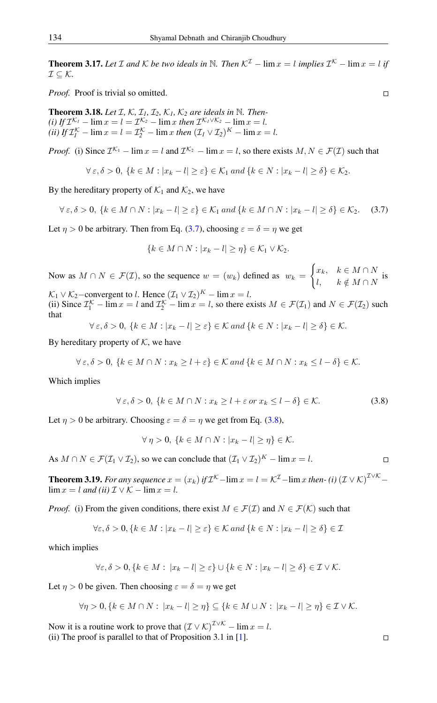**Theorem 3.17.** Let  $\mathcal I$  and  $\mathcal K$  be two ideals in  $\mathbb N$ . Then  $\mathcal K^{\mathcal I}$  –  $\lim x = l$  implies  $\mathcal I^{\mathcal K}$  –  $\lim x = l$  if  $\mathcal{I} \subseteq \mathcal{K}$ .

*Proof.* Proof is trivial so omitted.

**Theorem 3.18.** Let  $I, K, I_1, I_2, K_1, K_2$  are ideals in  $N$ . Then $f(t)$  *If*  $\mathcal{I}^{\mathcal{K}_{I}}$  –  $\lim x = l = \mathcal{I}^{\mathcal{K}_{2}}$  –  $\lim x$  *then*  $\mathcal{I}^{\mathcal{K}_{I} \vee \mathcal{K}_{2}}$  –  $\lim x = l$ . (*ii*) If  $\mathcal{I}_l^{\mathcal{K}}$  –  $\lim x = l = \mathcal{I}_2^{\mathcal{K}}$  –  $\lim x$  *then*  $(\mathcal{I}_l \vee \mathcal{I}_2)^{\mathcal{K}}$  –  $\lim x = l$ .

*Proof.* (i) Since  $\mathcal{I}^{\mathcal{K}_1}$  – lim  $x = l$  and  $\mathcal{I}^{\mathcal{K}_2}$  – lim  $x = l$ , so there exists  $M, N \in \mathcal{F}(\mathcal{I})$  such that

$$
\forall \varepsilon, \delta > 0, \{k \in M : |x_k - l| \ge \varepsilon\} \in \mathcal{K}_1 \text{ and } \{k \in N : |x_k - l| \ge \delta\} \in \mathcal{K}_2.
$$

By the hereditary property of  $\mathcal{K}_1$  and  $\mathcal{K}_2$ , we have

$$
\forall \varepsilon, \delta > 0, \{k \in M \cap N : |x_k - l| \ge \varepsilon\} \in \mathcal{K}_1 \text{ and } \{k \in M \cap N : |x_k - l| \ge \delta\} \in \mathcal{K}_2. \tag{3.7}
$$

Let  $\eta > 0$  be arbitrary. Then from Eq. [\(3.7\)](#page-5-0), choosing  $\varepsilon = \delta = \eta$  we get

<span id="page-5-0"></span>
$$
\{k \in M \cap N : |x_k - l| \geq \eta\} \in \mathcal{K}_1 \vee \mathcal{K}_2.
$$

Now as  $M \cap N \in \mathcal{F}(\mathcal{I})$ , so the sequence  $w = (w_k)$  defined as  $w_k =$  $\int x_k, \quad k \in M \cap N$  $\begin{array}{ll} & n \in M \cap N \\ l, & k \notin M \cap N \end{array}$  is

 $\mathcal{K}_1 \vee \mathcal{K}_2$ -convergent to l. Hence  $(\mathcal{I}_1 \vee \mathcal{I}_2)^K$  –  $\lim x = l$ . (ii) Since  $\mathcal{I}_1^{\mathcal{K}}$  – lim  $x = l$  and  $\mathcal{I}_2^{\mathcal{K}}$  – lim  $x = l$ , so there exists  $M \in \mathcal{F}(\mathcal{I}_1)$  and  $N \in \mathcal{F}(\mathcal{I}_2)$  such that

$$
\forall \varepsilon, \delta > 0, \{k \in M : |x_k - l| \ge \varepsilon\} \in \mathcal{K} \text{ and } \{k \in N : |x_k - l| \ge \delta\} \in \mathcal{K}.
$$

By hereditary property of  $K$ , we have

$$
\forall \varepsilon, \delta > 0, \{k \in M \cap N : x_k \ge l + \varepsilon\} \in \mathcal{K} \text{ and } \{k \in M \cap N : x_k \le l - \delta\} \in \mathcal{K}.
$$

Which implies

<span id="page-5-1"></span>
$$
\forall \varepsilon, \delta > 0, \{k \in M \cap N : x_k \ge l + \varepsilon \text{ or } x_k \le l - \delta\} \in \mathcal{K}.
$$
 (3.8)

Let  $\eta > 0$  be arbitrary. Choosing  $\varepsilon = \delta = \eta$  we get from Eq. [\(3.8\)](#page-5-1),

$$
\forall \eta > 0, \{k \in M \cap N : |x_k - l| \ge \eta\} \in \mathcal{K}.
$$

As  $M \cap N \in \mathcal{F}(\mathcal{I}_1 \vee \mathcal{I}_2)$ , so we can conclude that  $(\mathcal{I}_1 \vee \mathcal{I}_2)^K - \lim x = l$ .

**Theorem 3.19.** For any sequence  $x = (x_k)$  if  $\mathcal{I}^{\mathcal{K}}$  -  $\lim x = l = \mathcal{K}^{\mathcal{I}}$  -  $\lim x$  then- (i)  $(\mathcal{I} \vee \mathcal{K})^{\mathcal{I} \vee \mathcal{K}}$  - $\lim x = l$  *and (ii)*  $\mathcal{I} \vee \mathcal{K} - \lim x = l$ .

*Proof.* (i) From the given conditions, there exist  $M \in \mathcal{F}(\mathcal{I})$  and  $N \in \mathcal{F}(\mathcal{K})$  such that

$$
\forall \varepsilon, \delta > 0, \{ k \in M : |x_k - l| \ge \varepsilon \} \in \mathcal{K} \text{ and } \{ k \in N : |x_k - l| \ge \delta \} \in \mathcal{I}
$$

which implies

$$
\forall \varepsilon, \delta > 0, \{k \in M : |x_k - l| \ge \varepsilon\} \cup \{k \in N : |x_k - l| \ge \delta\} \in \mathcal{I} \vee \mathcal{K}.
$$

Let  $\eta > 0$  be given. Then choosing  $\varepsilon = \delta = \eta$  we get

$$
\forall \eta > 0, \{k \in M \cap N : |x_k - l| \geq \eta\} \subseteq \{k \in M \cup N : |x_k - l| \geq \eta\} \in \mathcal{I} \vee \mathcal{K}.
$$

Now it is a routine work to prove that  $(\mathcal{I} \vee \mathcal{K})^{\mathcal{I} \vee \mathcal{K}}$  –  $\lim x = l$ . (ii) The proof is parallel to that of Proposition 3.1 in [\[1\]](#page-6-9).

 $\Box$